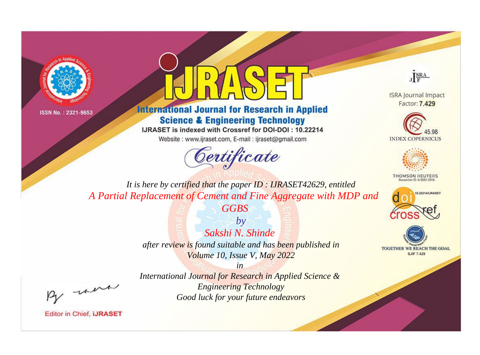



**International Journal for Research in Applied Science & Engineering Technology** 

IJRASET is indexed with Crossref for DOI-DOI: 10.22214

Website: www.ijraset.com, E-mail: ijraset@gmail.com





**ISRA Journal Impact** Factor: 7.429





**THOMSON REUTERS** 



TOGETHER WE REACH THE GOAL **SJIF 7.429** 

*It is here by certified that the paper ID : IJRASET42629, entitled A Partial Replacement of Cement and Fine Aggregate with MDP and* 

*GGBS*

*by Sakshi N. Shinde after review is found suitable and has been published in Volume 10, Issue V, May 2022*

, un

*International Journal for Research in Applied Science & Engineering Technology Good luck for your future endeavors*

*in*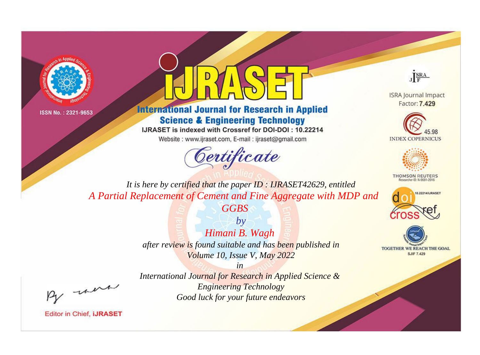



## **International Journal for Research in Applied Science & Engineering Technology**

IJRASET is indexed with Crossref for DOI-DOI: 10.22214

Website: www.ijraset.com, E-mail: ijraset@gmail.com





**ISRA Journal Impact** Factor: 7.429





**THOMSON REUTERS** 



TOGETHER WE REACH THE GOAL **SJIF 7.429** 

*It is here by certified that the paper ID : IJRASET42629, entitled A Partial Replacement of Cement and Fine Aggregate with MDP and* 

*GGBS*

*by Himani B. Wagh after review is found suitable and has been published in Volume 10, Issue V, May 2022*

, un

*International Journal for Research in Applied Science & Engineering Technology Good luck for your future endeavors*

*in*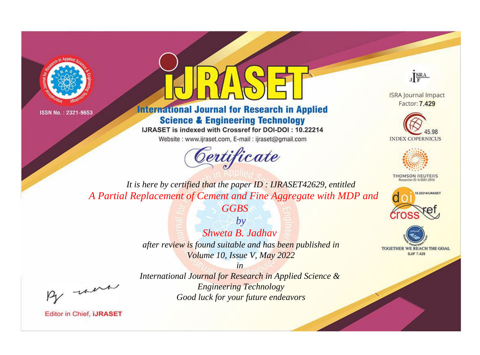



**International Journal for Research in Applied Science & Engineering Technology** 

IJRASET is indexed with Crossref for DOI-DOI: 10.22214

Website: www.ijraset.com, E-mail: ijraset@gmail.com



JERA

**ISRA Journal Impact** Factor: 7.429





**THOMSON REUTERS** 



TOGETHER WE REACH THE GOAL **SJIF 7.429** 

It is here by certified that the paper ID: IJRASET42629, entitled A Partial Replacement of Cement and Fine Aggregate with MDP and

**GGBS** 

 $b\nu$ Shweta B. Jadhay after review is found suitable and has been published in Volume 10, Issue V, May 2022

were

International Journal for Research in Applied Science & **Engineering Technology** Good luck for your future endeavors

 $in$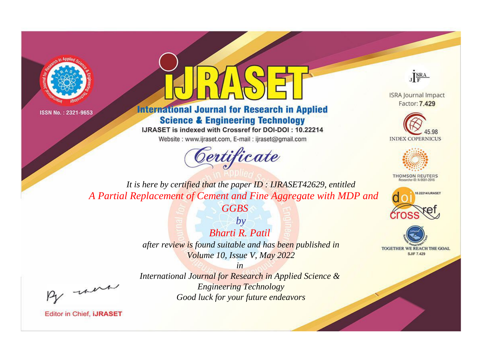



## **International Journal for Research in Applied Science & Engineering Technology**

IJRASET is indexed with Crossref for DOI-DOI: 10.22214

Website: www.ijraset.com, E-mail: ijraset@gmail.com





**ISRA Journal Impact** Factor: 7.429





**THOMSON REUTERS** 



TOGETHER WE REACH THE GOAL **SJIF 7.429** 

*It is here by certified that the paper ID : IJRASET42629, entitled A Partial Replacement of Cement and Fine Aggregate with MDP and* 

*GGBS*

*by Bharti R. Patil after review is found suitable and has been published in Volume 10, Issue V, May 2022*

, were

*International Journal for Research in Applied Science & Engineering Technology Good luck for your future endeavors*

*in*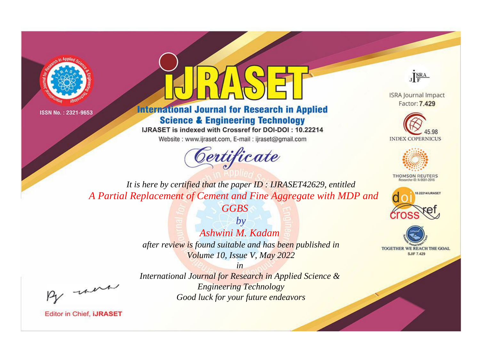



**International Journal for Research in Applied Science & Engineering Technology** 

IJRASET is indexed with Crossref for DOI-DOI: 10.22214

Website: www.ijraset.com, E-mail: ijraset@gmail.com



JERA

**ISRA Journal Impact** Factor: 7.429





**THOMSON REUTERS** 



TOGETHER WE REACH THE GOAL **SJIF 7.429** 

It is here by certified that the paper ID: IJRASET42629, entitled A Partial Replacement of Cement and Fine Aggregate with MDP and **GGBS** 

> $b\nu$ Ashwini M. Kadam after review is found suitable and has been published in Volume 10, Issue V, May 2022

-were

International Journal for Research in Applied Science & **Engineering Technology** Good luck for your future endeavors

 $in$